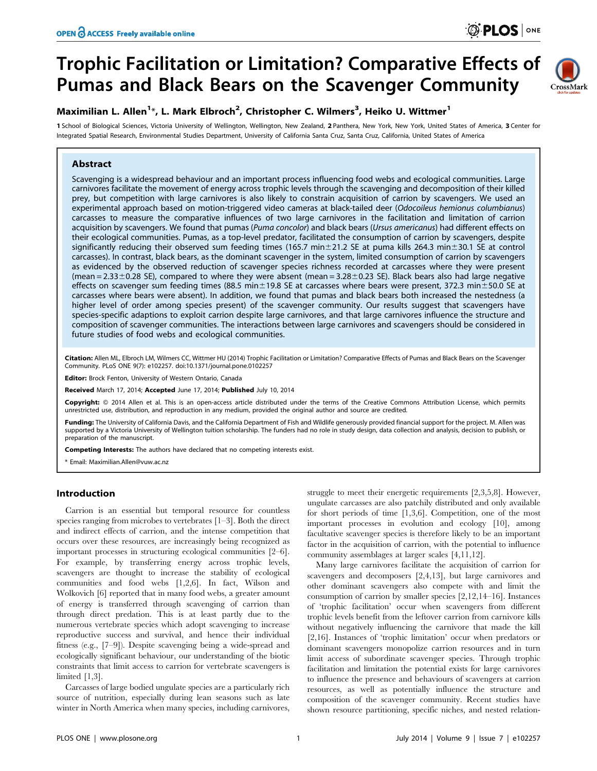CrossMark

# Trophic Facilitation or Limitation? Comparative Effects of Pumas and Black Bears on the Scavenger Community

# Maximilian L. Allen<sup>1\*</sup>, L. Mark Elbroch<sup>2</sup>, Christopher C. Wilmers<sup>3</sup>, Heiko U. Wittmer<sup>1</sup>

1 School of Biological Sciences, Victoria University of Wellington, Wellington, New Zealand, 2 Panthera, New York, New York, United States of America, 3 Center for Integrated Spatial Research, Environmental Studies Department, University of California Santa Cruz, Santa Cruz, California, United States of America

## Abstract

Scavenging is a widespread behaviour and an important process influencing food webs and ecological communities. Large carnivores facilitate the movement of energy across trophic levels through the scavenging and decomposition of their killed prey, but competition with large carnivores is also likely to constrain acquisition of carrion by scavengers. We used an experimental approach based on motion-triggered video cameras at black-tailed deer (Odocoileus hemionus columbianus) carcasses to measure the comparative influences of two large carnivores in the facilitation and limitation of carrion acquisition by scavengers. We found that pumas (Puma concolor) and black bears (Ursus americanus) had different effects on their ecological communities. Pumas, as a top-level predator, facilitated the consumption of carrion by scavengers, despite significantly reducing their observed sum feeding times (165.7 min $\pm$ 21.2 SE at puma kills 264.3 min $\pm$ 30.1 SE at control carcasses). In contrast, black bears, as the dominant scavenger in the system, limited consumption of carrion by scavengers as evidenced by the observed reduction of scavenger species richness recorded at carcasses where they were present (mean  $= 2.33 \pm 0.28$  SE), compared to where they were absent (mean  $= 3.28 \pm 0.23$  SE). Black bears also had large negative effects on scavenger sum feeding times (88.5 min $\pm$ 19.8 SE at carcasses where bears were present, 372.3 min $\pm$ 50.0 SE at carcasses where bears were absent). In addition, we found that pumas and black bears both increased the nestedness (a higher level of order among species present) of the scavenger community. Our results suggest that scavengers have species-specific adaptions to exploit carrion despite large carnivores, and that large carnivores influence the structure and composition of scavenger communities. The interactions between large carnivores and scavengers should be considered in future studies of food webs and ecological communities.

Citation: Allen ML, Elbroch LM, Wilmers CC, Wittmer HU (2014) Trophic Facilitation or Limitation? Comparative Effects of Pumas and Black Bears on the Scavenger Community. PLoS ONE 9(7): e102257. doi:10.1371/journal.pone.0102257

Editor: Brock Fenton, University of Western Ontario, Canada

Received March 17, 2014; Accepted June 17, 2014; Published July 10, 2014

Copyright: @ 2014 Allen et al. This is an open-access article distributed under the terms of the [Creative Commons Attribution License,](http://creativecommons.org/licenses/by/4.0/) which permits unrestricted use, distribution, and reproduction in any medium, provided the original author and source are credited.

Funding: The University of California Davis, and the California Department of Fish and Wildlife generously provided financial support for the project. M. Allen was supported by a Victoria University of Wellington tuition scholarship. The funders had no role in study design, data collection and analysis, decision to publish, or preparation of the manuscript.

Competing Interests: The authors have declared that no competing interests exist.

\* Email: Maximilian.Allen@vuw.ac.nz

## Introduction

Carrion is an essential but temporal resource for countless species ranging from microbes to vertebrates [1–3]. Both the direct and indirect effects of carrion, and the intense competition that occurs over these resources, are increasingly being recognized as important processes in structuring ecological communities [2–6]. For example, by transferring energy across trophic levels, scavengers are thought to increase the stability of ecological communities and food webs [1,2,6]. In fact, Wilson and Wolkovich [6] reported that in many food webs, a greater amount of energy is transferred through scavenging of carrion than through direct predation. This is at least partly due to the numerous vertebrate species which adopt scavenging to increase reproductive success and survival, and hence their individual fitness (e.g., [7–9]). Despite scavenging being a wide-spread and ecologically significant behaviour, our understanding of the biotic constraints that limit access to carrion for vertebrate scavengers is limited [1,3].

Carcasses of large bodied ungulate species are a particularly rich source of nutrition, especially during lean seasons such as late winter in North America when many species, including carnivores,

struggle to meet their energetic requirements [2,3,5,8]. However, ungulate carcasses are also patchily distributed and only available for short periods of time [1,3,6]. Competition, one of the most important processes in evolution and ecology [10], among facultative scavenger species is therefore likely to be an important factor in the acquisition of carrion, with the potential to influence community assemblages at larger scales [4,11,12].

Many large carnivores facilitate the acquisition of carrion for scavengers and decomposers [2,4,13], but large carnivores and other dominant scavengers also compete with and limit the consumption of carrion by smaller species [2,12,14–16]. Instances of 'trophic facilitation' occur when scavengers from different trophic levels benefit from the leftover carrion from carnivore kills without negatively influencing the carnivore that made the kill [2,16]. Instances of 'trophic limitation' occur when predators or dominant scavengers monopolize carrion resources and in turn limit access of subordinate scavenger species. Through trophic facilitation and limitation the potential exists for large carnivores to influence the presence and behaviours of scavengers at carrion resources, as well as potentially influence the structure and composition of the scavenger community. Recent studies have shown resource partitioning, specific niches, and nested relation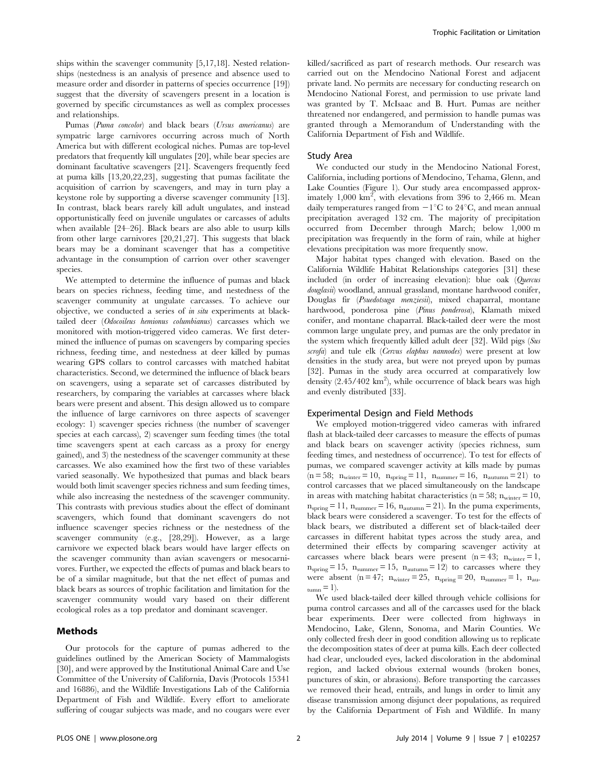ships within the scavenger community [5,17,18]. Nested relationships (nestedness is an analysis of presence and absence used to measure order and disorder in patterns of species occurrence [19]) suggest that the diversity of scavengers present in a location is governed by specific circumstances as well as complex processes and relationships.

Pumas (Puma concolor) and black bears (Ursus americanus) are sympatric large carnivores occurring across much of North America but with different ecological niches. Pumas are top-level predators that frequently kill ungulates [20], while bear species are dominant facultative scavengers [21]. Scavengers frequently feed at puma kills [13,20,22,23], suggesting that pumas facilitate the acquisition of carrion by scavengers, and may in turn play a keystone role by supporting a diverse scavenger community [13]. In contrast, black bears rarely kill adult ungulates, and instead opportunistically feed on juvenile ungulates or carcasses of adults when available [24–26]. Black bears are also able to usurp kills from other large carnivores [20,21,27]. This suggests that black bears may be a dominant scavenger that has a competitive advantage in the consumption of carrion over other scavenger species.

We attempted to determine the influence of pumas and black bears on species richness, feeding time, and nestedness of the scavenger community at ungulate carcasses. To achieve our objective, we conducted a series of in situ experiments at blacktailed deer (Odocoileus hemionus columbianus) carcasses which we monitored with motion-triggered video cameras. We first determined the influence of pumas on scavengers by comparing species richness, feeding time, and nestedness at deer killed by pumas wearing GPS collars to control carcasses with matched habitat characteristics. Second, we determined the influence of black bears on scavengers, using a separate set of carcasses distributed by researchers, by comparing the variables at carcasses where black bears were present and absent. This design allowed us to compare the influence of large carnivores on three aspects of scavenger ecology: 1) scavenger species richness (the number of scavenger species at each carcass), 2) scavenger sum feeding times (the total time scavengers spent at each carcass as a proxy for energy gained), and 3) the nestedness of the scavenger community at these carcasses. We also examined how the first two of these variables varied seasonally. We hypothesized that pumas and black bears would both limit scavenger species richness and sum feeding times, while also increasing the nestedness of the scavenger community. This contrasts with previous studies about the effect of dominant scavengers, which found that dominant scavengers do not influence scavenger species richness or the nestedness of the scavenger community (e.g., [28,29]). However, as a large carnivore we expected black bears would have larger effects on the scavenger community than avian scavengers or mesocarnivores. Further, we expected the effects of pumas and black bears to be of a similar magnitude, but that the net effect of pumas and black bears as sources of trophic facilitation and limitation for the scavenger community would vary based on their different ecological roles as a top predator and dominant scavenger.

## Methods

Our protocols for the capture of pumas adhered to the guidelines outlined by the American Society of Mammalogists [30], and were approved by the Institutional Animal Care and Use Committee of the University of California, Davis (Protocols 15341 and 16886), and the Wildlife Investigations Lab of the California Department of Fish and Wildlife. Every effort to ameliorate suffering of cougar subjects was made, and no cougars were ever killed/sacrificed as part of research methods. Our research was carried out on the Mendocino National Forest and adjacent private land. No permits are necessary for conducting research on Mendocino National Forest, and permission to use private land was granted by T. McIsaac and B. Hurt. Pumas are neither threatened nor endangered, and permission to handle pumas was granted through a Memorandum of Understanding with the California Department of Fish and Wildlife.

#### Study Area

We conducted our study in the Mendocino National Forest, California, including portions of Mendocino, Tehama, Glenn, and Lake Counties (Figure 1). Our study area encompassed approximately  $1,000 \text{ km}^2$ , with elevations from 396 to 2,466 m. Mean daily temperatures ranged from  $-1^{\circ}C$  to 24 $^{\circ}C$ , and mean annual precipitation averaged 132 cm. The majority of precipitation occurred from December through March; below 1,000 m precipitation was frequently in the form of rain, while at higher elevations precipitation was more frequently snow.

Major habitat types changed with elevation. Based on the California Wildlife Habitat Relationships categories [31] these included (in order of increasing elevation): blue oak (Quercus douglasii) woodland, annual grassland, montane hardwood conifer, Douglas fir (Psuedotsuga menziesii), mixed chaparral, montane hardwood, ponderosa pine (Pinus ponderosa), Klamath mixed conifer, and montane chaparral. Black-tailed deer were the most common large ungulate prey, and pumas are the only predator in the system which frequently killed adult deer [32]. Wild pigs (Sus scrofa) and tule elk (Cervus elaphus nannodes) were present at low densities in the study area, but were not preyed upon by pumas [32]. Pumas in the study area occurred at comparatively low density  $(2.45/402 \text{ km}^2)$ , while occurrence of black bears was high and evenly distributed [33].

## Experimental Design and Field Methods

We employed motion-triggered video cameras with infrared flash at black-tailed deer carcasses to measure the effects of pumas and black bears on scavenger activity (species richness, sum feeding times, and nestedness of occurrence). To test for effects of pumas, we compared scavenger activity at kills made by pumas  $(n = 58; n<sub>winter</sub> = 10, n<sub>spring</sub> = 11, n<sub>summer</sub> = 16, n<sub>autumn</sub> = 21)$  to control carcasses that we placed simultaneously on the landscape in areas with matching habitat characteristics ( $n = 58$ ;  $n_{\text{winter}} = 10$ ,  $n<sub>spring</sub> = 11$ ,  $n<sub>summary</sub> = 16$ ,  $n<sub>autumn</sub> = 21$ ). In the puma experiments, black bears were considered a scavenger. To test for the effects of black bears, we distributed a different set of black-tailed deer carcasses in different habitat types across the study area, and determined their effects by comparing scavenger activity at carcasses where black bears were present  $(n = 43; n<sub>winter</sub> = 1,$  $n<sub>spring</sub> = 15$ ,  $n<sub>summary</sub> = 15$ ,  $n<sub>autumn</sub> = 12$ ) to carcasses where they were absent  $(n = 47; n<sub>winter</sub> = 25, n<sub>spring</sub> = 20, n<sub>summer</sub> = 1, n<sub>au</sub>$  $_{\text{tumn}} = 1$ .

We used black-tailed deer killed through vehicle collisions for puma control carcasses and all of the carcasses used for the black bear experiments. Deer were collected from highways in Mendocino, Lake, Glenn, Sonoma, and Marin Counties. We only collected fresh deer in good condition allowing us to replicate the decomposition states of deer at puma kills. Each deer collected had clear, unclouded eyes, lacked discoloration in the abdominal region, and lacked obvious external wounds (broken bones, punctures of skin, or abrasions). Before transporting the carcasses we removed their head, entrails, and lungs in order to limit any disease transmission among disjunct deer populations, as required by the California Department of Fish and Wildlife. In many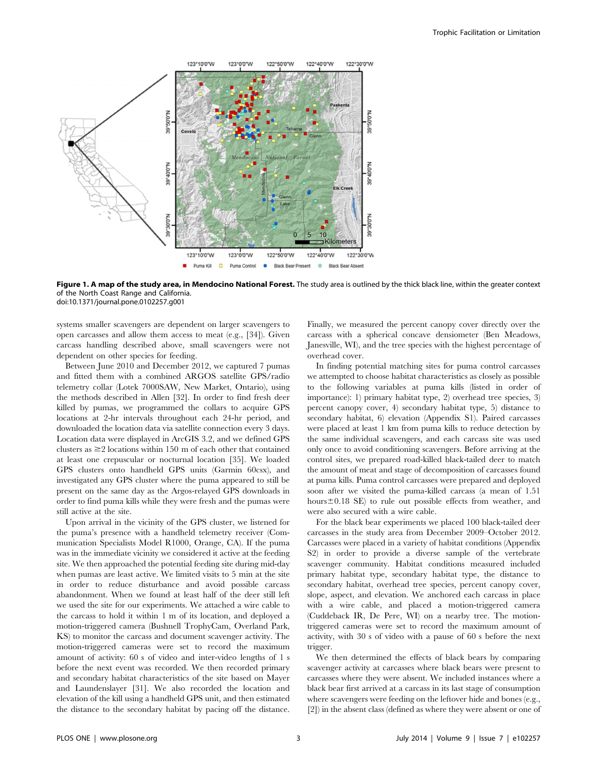

Figure 1. A map of the study area, in Mendocino National Forest. The study area is outlined by the thick black line, within the greater context of the North Coast Range and California. doi:10.1371/journal.pone.0102257.g001

systems smaller scavengers are dependent on larger scavengers to open carcasses and allow them access to meat (e.g., [34]). Given carcass handling described above, small scavengers were not dependent on other species for feeding.

Between June 2010 and December 2012, we captured 7 pumas and fitted them with a combined ARGOS satellite GPS/radio telemetry collar (Lotek 7000SAW, New Market, Ontario), using the methods described in Allen [32]. In order to find fresh deer killed by pumas, we programmed the collars to acquire GPS locations at 2-hr intervals throughout each 24-hr period, and downloaded the location data via satellite connection every 3 days. Location data were displayed in ArcGIS 3.2, and we defined GPS clusters as  $\geq$  locations within 150 m of each other that contained at least one crepuscular or nocturnal location [35]. We loaded GPS clusters onto handheld GPS units (Garmin 60csx), and investigated any GPS cluster where the puma appeared to still be present on the same day as the Argos-relayed GPS downloads in order to find puma kills while they were fresh and the pumas were still active at the site.

Upon arrival in the vicinity of the GPS cluster, we listened for the puma's presence with a handheld telemetry receiver (Communication Specialists Model R1000, Orange, CA). If the puma was in the immediate vicinity we considered it active at the feeding site. We then approached the potential feeding site during mid-day when pumas are least active. We limited visits to 5 min at the site in order to reduce disturbance and avoid possible carcass abandonment. When we found at least half of the deer still left we used the site for our experiments. We attached a wire cable to the carcass to hold it within 1 m of its location, and deployed a motion-triggered camera (Bushnell TrophyCam, Overland Park, KS) to monitor the carcass and document scavenger activity. The motion-triggered cameras were set to record the maximum amount of activity: 60 s of video and inter-video lengths of 1 s before the next event was recorded. We then recorded primary and secondary habitat characteristics of the site based on Mayer and Laundenslayer [31]. We also recorded the location and elevation of the kill using a handheld GPS unit, and then estimated the distance to the secondary habitat by pacing off the distance.

Finally, we measured the percent canopy cover directly over the carcass with a spherical concave densiometer (Ben Meadows, Janesville, WI), and the tree species with the highest percentage of overhead cover.

In finding potential matching sites for puma control carcasses we attempted to choose habitat characteristics as closely as possible to the following variables at puma kills (listed in order of importance): 1) primary habitat type, 2) overhead tree species, 3) percent canopy cover, 4) secondary habitat type, 5) distance to secondary habitat, 6) elevation (Appendix S1). Paired carcasses were placed at least 1 km from puma kills to reduce detection by the same individual scavengers, and each carcass site was used only once to avoid conditioning scavengers. Before arriving at the control sites, we prepared road-killed black-tailed deer to match the amount of meat and stage of decomposition of carcasses found at puma kills. Puma control carcasses were prepared and deployed soon after we visited the puma-killed carcass (a mean of 1.51 hours $\pm$ 0.18 SE) to rule out possible effects from weather, and were also secured with a wire cable.

For the black bear experiments we placed 100 black-tailed deer carcasses in the study area from December 2009–October 2012. Carcasses were placed in a variety of habitat conditions (Appendix S2) in order to provide a diverse sample of the vertebrate scavenger community. Habitat conditions measured included primary habitat type, secondary habitat type, the distance to secondary habitat, overhead tree species, percent canopy cover, slope, aspect, and elevation. We anchored each carcass in place with a wire cable, and placed a motion-triggered camera (Cuddeback IR, De Pere, WI) on a nearby tree. The motiontriggered cameras were set to record the maximum amount of activity, with 30 s of video with a pause of 60 s before the next trigger.

We then determined the effects of black bears by comparing scavenger activity at carcasses where black bears were present to carcasses where they were absent. We included instances where a black bear first arrived at a carcass in its last stage of consumption where scavengers were feeding on the leftover hide and bones (e.g., [2]) in the absent class (defined as where they were absent or one of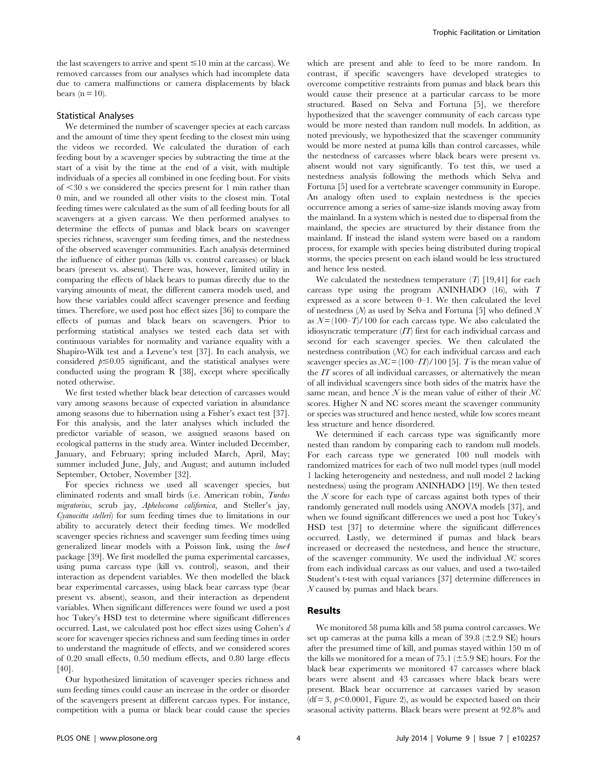the last scavengers to arrive and spent  $\leq 10$  min at the carcass). We removed carcasses from our analyses which had incomplete data due to camera malfunctions or camera displacements by black bears ( $n = 10$ ).

## Statistical Analyses

We determined the number of scavenger species at each carcass and the amount of time they spent feeding to the closest min using the videos we recorded. We calculated the duration of each feeding bout by a scavenger species by subtracting the time at the start of a visit by the time at the end of a visit, with multiple individuals of a species all combined in one feeding bout. For visits of  $\leq$ 30 s we considered the species present for 1 min rather than 0 min, and we rounded all other visits to the closest min. Total feeding times were calculated as the sum of all feeding bouts for all scavengers at a given carcass. We then performed analyses to determine the effects of pumas and black bears on scavenger species richness, scavenger sum feeding times, and the nestedness of the observed scavenger communities. Each analysis determined the influence of either pumas (kills vs. control carcasses) or black bears (present vs. absent). There was, however, limited utility in comparing the effects of black bears to pumas directly due to the varying amounts of meat, the different camera models used, and how these variables could affect scavenger presence and feeding times. Therefore, we used post hoc effect sizes [36] to compare the effects of pumas and black bears on scavengers. Prior to performing statistical analyses we tested each data set with continuous variables for normality and variance equality with a Shapiro-Wilk test and a Levene's test [37]. In each analysis, we considered  $p \leq 0.05$  significant, and the statistical analyses were conducted using the program R [38], except where specifically noted otherwise.

We first tested whether black bear detection of carcasses would vary among seasons because of expected variation in abundance among seasons due to hibernation using a Fisher's exact test [37]. For this analysis, and the later analyses which included the predictor variable of season, we assigned seasons based on ecological patterns in the study area. Winter included December, January, and February; spring included March, April, May; summer included June, July, and August; and autumn included September, October, November [32].

For species richness we used all scavenger species, but eliminated rodents and small birds (i.e. American robin, Turdus migratorius, scrub jay, Aphelocoma californica, and Steller's jay, Cyanocitta stelleri) for sum feeding times due to limitations in our ability to accurately detect their feeding times. We modelled scavenger species richness and scavenger sum feeding times using generalized linear models with a Poisson link, using the  $lme4$ package [39]. We first modelled the puma experimental carcasses, using puma carcass type (kill vs. control), season, and their interaction as dependent variables. We then modelled the black bear experimental carcasses, using black bear carcass type (bear present vs. absent), season, and their interaction as dependent variables. When significant differences were found we used a post hoc Tukey's HSD test to determine where significant differences occurred. Last, we calculated post hoc effect sizes using Cohen's d score for scavenger species richness and sum feeding times in order to understand the magnitude of effects, and we considered scores of 0.20 small effects, 0.50 medium effects, and 0.80 large effects [40].

Our hypothesized limitation of scavenger species richness and sum feeding times could cause an increase in the order or disorder of the scavengers present at different carcass types. For instance, competition with a puma or black bear could cause the species which are present and able to feed to be more random. In contrast, if specific scavengers have developed strategies to overcome competitive restraints from pumas and black bears this would cause their presence at a particular carcass to be more structured. Based on Selva and Fortuna [5], we therefore hypothesized that the scavenger community of each carcass type would be more nested than random null models. In addition, as noted previously, we hypothesized that the scavenger community would be more nested at puma kills than control carcasses, while the nestedness of carcasses where black bears were present vs. absent would not vary significantly. To test this, we used a nestedness analysis following the methods which Selva and Fortuna [5] used for a vertebrate scavenger community in Europe. An analogy often used to explain nestedness is the species occurrence among a series of same-size islands moving away from the mainland. In a system which is nested due to dispersal from the mainland, the species are structured by their distance from the mainland. If instead the island system were based on a random process, for example with species being distributed during tropical storms, the species present on each island would be less structured and hence less nested.

We calculated the nestedness temperature  $(T)$  [19,41] for each carcass type using the program ANINHADO (16), with T expressed as a score between 0–1. We then calculated the level of nestedness  $(N)$  as used by Selva and Fortuna [5] who defined N as  $N = (100-T)/100$  for each carcass type. We also calculated the idiosyncratic temperature (IT) first for each individual carcass and second for each scavenger species. We then calculated the nestedness contribution (NC) for each individual carcass and each scavenger species as  $NC = (100 - IT)/100$  [5]. T is the mean value of the  $IT$  scores of all individual carcasses, or alternatively the mean of all individual scavengers since both sides of the matrix have the same mean, and hence  $N$  is the mean value of either of their  $NC$ scores. Higher N and NC scores meant the scavenger community or species was structured and hence nested, while low scores meant less structure and hence disordered.

We determined if each carcass type was significantly more nested than random by comparing each to random null models. For each carcass type we generated 100 null models with randomized matrices for each of two null model types (null model 1 lacking heterogeneity and nestedness, and null model 2 lacking nestedness) using the program ANINHADO [19]. We then tested the  $N$  score for each type of carcass against both types of their randomly generated null models using ANOVA models [37], and when we found significant differences we used a post hoc Tukey's HSD test [37] to determine where the significant differences occurred. Lastly, we determined if pumas and black bears increased or decreased the nestedness, and hence the structure, of the scavenger community. We used the individual NC scores from each individual carcass as our values, and used a two-tailed Student's t-test with equal variances [37] determine differences in N caused by pumas and black bears.

## Results

We monitored 58 puma kills and 58 puma control carcasses. We set up cameras at the puma kills a mean of 39.8 ( $\pm$ 2.9 SE) hours after the presumed time of kill, and pumas stayed within 150 m of the kills we monitored for a mean of 75.1 ( $\pm$ 5.9 SE) hours. For the black bear experiments we monitored 47 carcasses where black bears were absent and 43 carcasses where black bears were present. Black bear occurrence at carcasses varied by season  $(df = 3, p<0.0001,$  Figure 2), as would be expected based on their seasonal activity patterns. Black bears were present at 92.8% and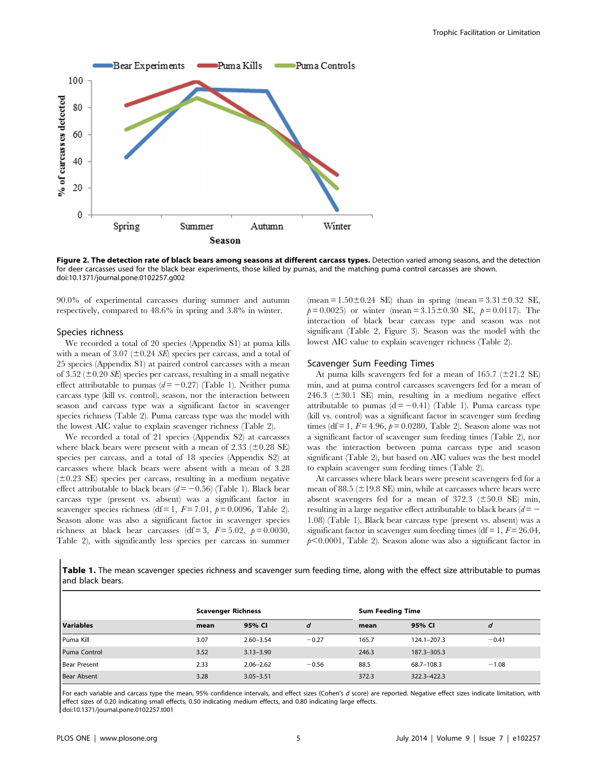

Figure 2. The detection rate of black bears among seasons at different carcass types. Detection varied among seasons, and the detection for deer carcasses used for the black bear experiments, those killed by pumas, and the matching puma control carcasses are shown. doi:10.1371/journal.pone.0102257.g002

90.0% of experimental carcasses during summer and autumn respectively, compared to 48.6% in spring and 3.8% in winter.

#### Species richness

We recorded a total of 20 species (Appendix S1) at puma kills with a mean of 3.07 ( $\pm$ 0.24 *SE*) species per carcass, and a total of 25 species (Appendix S1) at paired control carcasses with a mean of 3.52 ( $\pm$ 0.20 SE) species per carcass, resulting in a small negative effect attributable to pumas  $(d = -0.27)$  (Table 1). Neither puma carcass type (kill vs. control), season, nor the interaction between season and carcass type was a significant factor in scavenger species richness (Table 2). Puma carcass type was the model with the lowest AIC value to explain scavenger richness (Table 2).

We recorded a total of 21 species (Appendix S2) at carcasses where black bears were present with a mean of 2.33 ( $\pm$ 0.28 SE) species per carcass, and a total of 18 species (Appendix S2) at carcasses where black bears were absent with a mean of 3.28  $(±0.23$  SE) species per carcass, resulting in a medium negative effect attributable to black bears ( $d = -0.56$ ) (Table 1). Black bear carcass type (present vs. absent) was a significant factor in scavenger species richness (df = 1,  $F = 7.01$ ,  $p = 0.0096$ , Table 2). Season alone was also a significant factor in scavenger species richness at black bear carcasses (df = 3,  $F = 5.02$ ,  $p = 0.0030$ , Table 2), with significantly less species per carcass in summer (mean =  $1.50\pm0.24$  SE) than in spring (mean =  $3.31\pm0.32$  SE,  $p= 0.0025$  or winter (mean = 3.15±0.30 SE,  $p= 0.0117$ ). The interaction of black bear carcass type and season was not significant (Table 2, Figure 3). Season was the model with the lowest AIC value to explain scavenger richness (Table 2).

#### Scavenger Sum Feeding Times

At puma kills scavengers fed for a mean of  $165.7$  ( $\pm$ 21.2 SE) min, and at puma control carcasses scavengers fed for a mean of 246.3 ( $\pm$ 30.1 SE) min, resulting in a medium negative effect attributable to pumas  $(d = -0.41)$  (Table 1). Puma carcass type (kill vs. control) was a significant factor in scavenger sum feeding times (df = 1,  $F = 4.96$ ,  $p = 0.0280$ , Table 2). Season alone was not a significant factor of scavenger sum feeding times (Table 2), nor was the interaction between puma carcass type and season significant (Table 2), but based on AIC values was the best model to explain scavenger sum feeding times (Table 2).

At carcasses where black bears were present scavengers fed for a mean of 88.5 ( $\pm$ 19.8 SE) min, while at carcasses where bears were absent scavengers fed for a mean of 372.3 ( $\pm 50.0$  SE) min, resulting in a large negative effect attributable to black bears  $(d = -$ 1.08) (Table 1). Black bear carcass type (present vs. absent) was a significant factor in scavenger sum feeding times (df = 1,  $F = 26.04$ ,  $p<0.0001$ , Table 2). Season alone was also a significant factor in

Table 1. The mean scavenger species richness and scavenger sum feeding time, along with the effect size attributable to pumas and black bears.

|                     |      | <b>Scavenger Richness</b> |         | <b>Sum Feeding Time</b> |             |         |
|---------------------|------|---------------------------|---------|-------------------------|-------------|---------|
| <b>Variables</b>    | mean | 95% CI                    | d       | mean                    | 95% CI      | a       |
| Puma Kill           | 3.07 | $2.60 - 3.54$             | $-0.27$ | 165.7                   | 124.1-207.3 | $-0.41$ |
| Puma Control        | 3.52 | $3.13 - 3.90$             |         | 246.3                   | 187.3-305.3 |         |
| <b>Bear Present</b> | 2.33 | $2.06 - 2.62$             | $-0.56$ | 88.5                    | 68.7-108.3  | $-1.08$ |
| <b>Bear Absent</b>  | 3.28 | $3.05 - 3.51$             |         | 372.3                   | 322.3-422.3 |         |

For each variable and carcass type the mean, 95% confidence intervals, and effect sizes (Cohen's d score) are reported. Negative effect sizes indicate limitation, with effect sizes of 0.20 indicating small effects, 0.50 indicating medium effects, and 0.80 indicating large effects. doi:10.1371/journal.pone.0102257.t001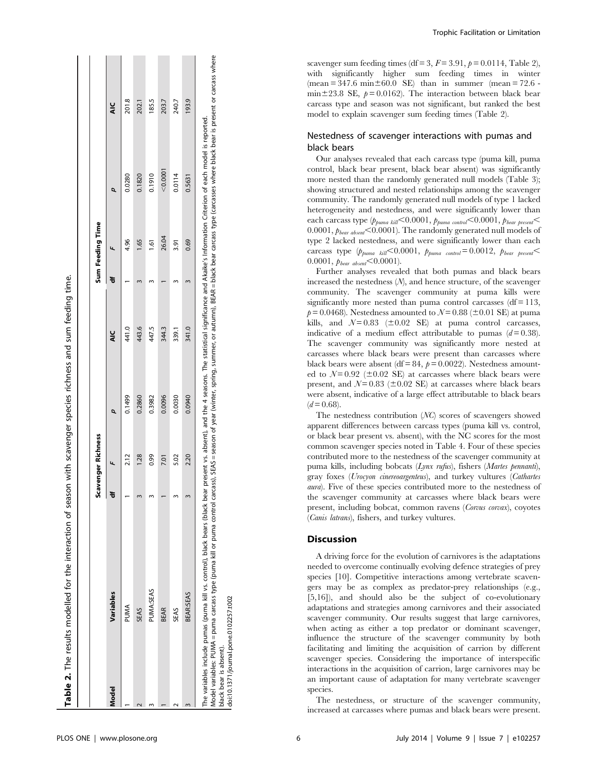|       |             | cavenger Richness |        |        |   | Sum Feeding Time |          |        |  |
|-------|-------------|-------------------|--------|--------|---|------------------|----------|--------|--|
| Model | Variables   |                   | ø      | ५<br>द | ᇂ |                  |          | ⊻<br>द |  |
|       | PUMA        | 2.12              | 0.1499 | 41.0   |   | 4.96             | 0.0280   | 201.8  |  |
|       | <b>SEAS</b> | 1.28              | 0.2860 | 443.6  |   | $\frac{65}{2}$   | 0.1820   | 202.1  |  |
|       | PUMA:SEAS   | 0.99              | 0.3982 | 447.5  |   | ত্               | 0.1910   | 185.5  |  |
|       | <b>BEAR</b> | 7.01              | 0.0096 | 344.3  |   | 26.04            | < 0.0001 | 203.7  |  |
|       | <b>SEAS</b> | 5.02              | 0.0030 | 339.1  |   | 3.91             | 0.0114   | 240.7  |  |
|       | BEAR:SEAS   | 2.20              | 0.0940 | 341.0  |   | 0.69             | 0.5631   | 193.9  |  |

ì. black bear is absent). black bear is absent).

doi:10.1371/journal.pone.0102257.t002 doi:10.1371/journal.pone.0102257.t002

Trophic Facilitation or Limitation

scavenger sum feeding times (df = 3,  $F = 3.91$ ,  $p = 0.0114$ , Table 2), with significantly higher sum feeding times in winter  $(mean = 347.6 \text{ min} \pm 60.0 \text{ SE})$  than in summer  $(mean = 72.6$ min $\pm$ 23.8 SE,  $p = 0.0162$ ). The interaction between black bear carcass type and season was not significant, but ranked the best model to explain scavenger sum feeding times (Table 2).

## Nestedness of scavenger interactions with pumas and black bears

Our analyses revealed that each carcass type (puma kill, puma control, black bear present, black bear absent) was significantly more nested than the randomly generated null models (Table 3); showing structured and nested relationships among the scavenger community. The randomly generated null models of type 1 lacked heterogeneity and nestedness, and were significantly lower than each carcass type  $(p_{puma\;kill} < 0.0001, p_{puma\;control} < 0.0001, p_{beam\; present} <$ 0.0001,  $p_{\text{beam}}$  < 0.0001). The randomly generated null models of type 2 lacked nestedness, and were significantly lower than each carcass type  $(p_{puma~kill} < 0.0001, p_{puma~control} = 0.0012, p_{beam~present} <$ 0.0001,  $p_{\text{learn}}$  absent  $\leq 0.0001$ ).

Further analyses revealed that both pumas and black bears increased the nestedness (N), and hence structure, of the scavenger community. The scavenger community at puma kills were significantly more nested than puma control carcasses  $(df = 113,$  $p = 0.0468$ . Nestedness amounted to  $N = 0.88$  ( $\pm 0.01$  SE) at puma kills, and  $N = 0.83$  ( $\pm 0.02$  SE) at puma control carcasses, indicative of a medium effect attributable to pumas  $(d= 0.38)$ . The scavenger community was significantly more nested at carcasses where black bears were present than carcasses where black bears were absent (df = 84,  $p = 0.0022$ ). Nestedness amounted to  $N = 0.92$  ( $\pm 0.02$  SE) at carcasses where black bears were present, and  $N=0.83$  ( $\pm 0.02$  SE) at carcasses where black bears were absent, indicative of a large effect attributable to black bears  $(d= 0.68)$ .

The nestedness contribution (NC) scores of scavengers showed apparent differences between carcass types (puma kill vs. control, or black bear present vs. absent), with the NC scores for the most common scavenger species noted in Table 4. Four of these species contributed more to the nestedness of the scavenger community at puma kills, including bobcats (Lynx rufus), fishers (Martes pennanti), gray foxes (Urocyon cinereoargenteus), and turkey vultures (Cathartes aura). Five of these species contributed more to the nestedness of the scavenger community at carcasses where black bears were present, including bobcat, common ravens (Corvus corvax), coyotes (Canis latrans), fishers, and turkey vultures.

## Discussion

A driving force for the evolution of carnivores is the adaptations needed to overcome continually evolving defence strategies of prey species [10]. Competitive interactions among vertebrate scavengers may be as complex as predator-prey relationships (e.g., [5,16]), and should also be the subject of co-evolutionary adaptations and strategies among carnivores and their associated scavenger community. Our results suggest that large carnivores, when acting as either a top predator or dominant scavenger, influence the structure of the scavenger community by both facilitating and limiting the acquisition of carrion by different scavenger species. Considering the importance of interspecific interactions in the acquisition of carrion, large carnivores may be an important cause of adaptation for many vertebrate scavenger species.

The nestedness, or structure of the scavenger community, increased at carcasses where pumas and black bears were present.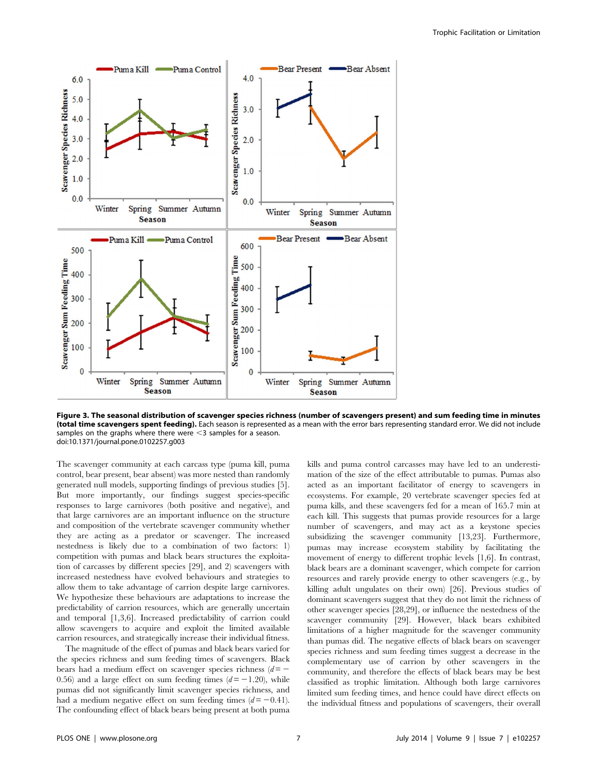

Figure 3. The seasonal distribution of scavenger species richness (number of scavengers present) and sum feeding time in minutes (total time scavengers spent feeding). Each season is represented as a mean with the error bars representing standard error. We did not include samples on the graphs where there were  $\leq$ 3 samples for a season. doi:10.1371/journal.pone.0102257.g003

The scavenger community at each carcass type (puma kill, puma control, bear present, bear absent) was more nested than randomly generated null models, supporting findings of previous studies [5]. But more importantly, our findings suggest species-specific responses to large carnivores (both positive and negative), and that large carnivores are an important influence on the structure and composition of the vertebrate scavenger community whether they are acting as a predator or scavenger. The increased nestedness is likely due to a combination of two factors: 1) competition with pumas and black bears structures the exploitation of carcasses by different species [29], and 2) scavengers with increased nestedness have evolved behaviours and strategies to allow them to take advantage of carrion despite large carnivores. We hypothesize these behaviours are adaptations to increase the predictability of carrion resources, which are generally uncertain and temporal [1,3,6]. Increased predictability of carrion could allow scavengers to acquire and exploit the limited available carrion resources, and strategically increase their individual fitness.

The magnitude of the effect of pumas and black bears varied for the species richness and sum feeding times of scavengers. Black bears had a medium effect on scavenger species richness  $(d=-$ 0.56) and a large effect on sum feeding times  $(d=-1.20)$ , while pumas did not significantly limit scavenger species richness, and had a medium negative effect on sum feeding times  $(d=-0.41)$ . The confounding effect of black bears being present at both puma kills and puma control carcasses may have led to an underestimation of the size of the effect attributable to pumas. Pumas also acted as an important facilitator of energy to scavengers in ecosystems. For example, 20 vertebrate scavenger species fed at puma kills, and these scavengers fed for a mean of 165.7 min at each kill. This suggests that pumas provide resources for a large number of scavengers, and may act as a keystone species subsidizing the scavenger community [13,23]. Furthermore, pumas may increase ecosystem stability by facilitating the movement of energy to different trophic levels [1,6]. In contrast, black bears are a dominant scavenger, which compete for carrion resources and rarely provide energy to other scavengers (e.g., by killing adult ungulates on their own) [26]. Previous studies of dominant scavengers suggest that they do not limit the richness of other scavenger species [28,29], or influence the nestedness of the scavenger community [29]. However, black bears exhibited limitations of a higher magnitude for the scavenger community than pumas did. The negative effects of black bears on scavenger species richness and sum feeding times suggest a decrease in the complementary use of carrion by other scavengers in the community, and therefore the effects of black bears may be best classified as trophic limitation. Although both large carnivores limited sum feeding times, and hence could have direct effects on the individual fitness and populations of scavengers, their overall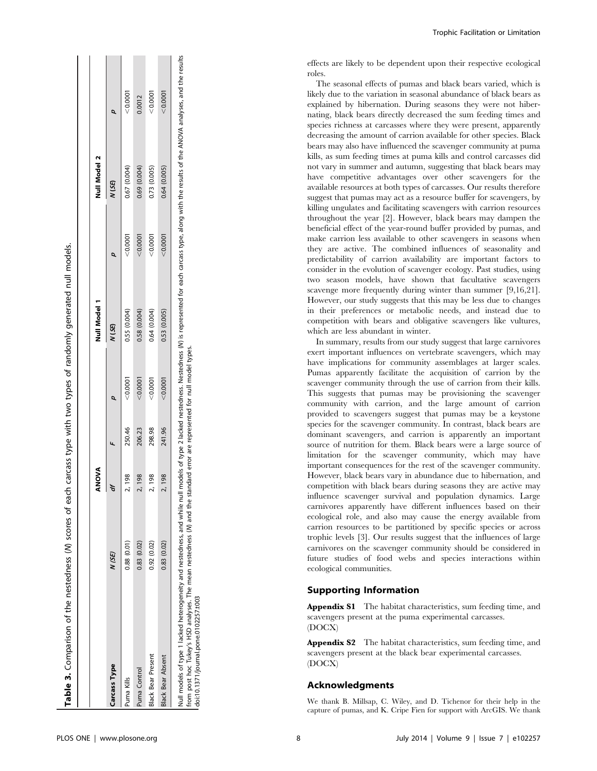| Table 3. Comparison of the nestedness (W) scores of each carcass type with two types of randomly generated null models. |             |              |        |          |              |          |              |          |
|-------------------------------------------------------------------------------------------------------------------------|-------------|--------------|--------|----------|--------------|----------|--------------|----------|
|                                                                                                                         |             |              |        |          |              |          |              |          |
|                                                                                                                         |             | <b>ANOVA</b> |        |          | Null Model 1 |          | Null Model 2 |          |
| Carcass Type                                                                                                            | N(SE)       |              |        |          | $N$ (SE)     | Q        | N (SE)       | Q        |
| Puma Kills                                                                                                              | 0.88(0.01)  | 2,198        | 250.46 | < 0.0001 | 0.55(0.004)  | < 0.0001 | 0.67 (0.004) | < 0.0001 |
| Puma Control                                                                                                            | 0.83(0.02)  | 2,198        | 206.23 | 0.0001   | 0.58(0.004)  | 0.0001   | 0.69 (0.004) | 0.0012   |
| <b>Black Bear Present</b>                                                                                               | 0.92 (0.02) | 2,198        | 298.98 | 0.0001   | 0.64(0.004)  | 0.0001   | 0.73 (0.005) | < 0.0001 |
| <b>Black Bear Absent</b>                                                                                                | 0.83(0.02)  | 2,198        | 241.96 | < 0.0001 | 0.53 (0.005) | < 0.0001 | 0.64 (0.005) | < 0.0001 |
|                                                                                                                         |             |              |        |          |              |          |              |          |

 $\mathbf{I} = \mathbf{I}$ 

 $\mathbf{L}$ 

**Contract Contract** 

Null models of type 1 lacked heterogeneity and nestedness, and while null models of type 2 lacked nestedness. Nestedness (N) is represented for each carcass type, along with the results of the ANOVA analyses, and the resul Null models of type 1 lacked heterogeneity and nestedness, and while null models of type 2 lacked nestedness. Nestedness (N) is represented for each carcass type, along with the results of the ANOVA analyses, and the resul model types. from post hoc Tukey's HSD analyses. The mean nestedness (N) and the standard error are represented for null model types. (M) and the standard error are represented for null from post hoc Tukey's HSD analyses. The mean nestedness doi:10.1371/journal.pone.0102257.t003 doi:10.1371/journal.pone.0102257.t003

effects are likely to be dependent upon their respective ecological roles.

The seasonal effects of pumas and black bears varied, which is likely due to the variation in seasonal abundance of black bears as explained by hibernation. During seasons they were not hibernating, black bears directly decreased the sum feeding times and species richness at carcasses where they were present, apparently decreasing the amount of carrion available for other species. Black bears may also have influenced the scavenger community at puma kills, as sum feeding times at puma kills and control carcasses did not vary in summer and autumn, suggesting that black bears may have competitive advantages over other scavengers for the available resources at both types of carcasses. Our results therefore suggest that pumas may act as a resource buffer for scavengers, by killing ungulates and facilitating scavengers with carrion resources throughout the year [2]. However, black bears may dampen the beneficial effect of the year-round buffer provided by pumas, and make carrion less available to other scavengers in seasons when they are active. The combined influences of seasonality and predictability of carrion availability are important factors to consider in the evolution of scavenger ecology. Past studies, using two season models, have shown that facultative scavengers scavenge more frequently during winter than summer [9,16,21]. However, our study suggests that this may be less due to changes in their preferences or metabolic needs, and instead due to competition with bears and obligative scavengers like vultures, which are less abundant in winter.

In summary, results from our study suggest that large carnivores exert important influences on vertebrate scavengers, which may have implications for community assemblages at larger scales. Pumas apparently facilitate the acquisition of carrion by the scavenger community through the use of carrion from their kills. This suggests that pumas may be provisioning the scavenger community with carrion, and the large amount of carrion provided to scavengers suggest that pumas may be a keystone species for the scavenger community. In contrast, black bears are dominant scavengers, and carrion is apparently an important source of nutrition for them. Black bears were a large source of limitation for the scavenger community, which may have important consequences for the rest of the scavenger community. However, black bears vary in abundance due to hibernation, and competition with black bears during seasons they are active may influence scavenger survival and population dynamics. Large carnivores apparently have different influences based on their ecological role, and also may cause the energy available from carrion resources to be partitioned by specific species or across trophic levels [3]. Our results suggest that the influences of large carnivores on the scavenger community should be considered in future studies of food webs and species interactions within ecological communities.

# Supporting Information

Appendix S1 The habitat characteristics, sum feeding time, and scavengers present at the puma experimental carcasses. (DOCX)

Appendix S2 The habitat characteristics, sum feeding time, and scavengers present at the black bear experimental carcasses. (DOCX)

# Acknowledgments

We thank B. Millsap, C. Wiley, and D. Tichenor for their help in the capture of pumas, and K. Cripe Fien for support with ArcGIS. We thank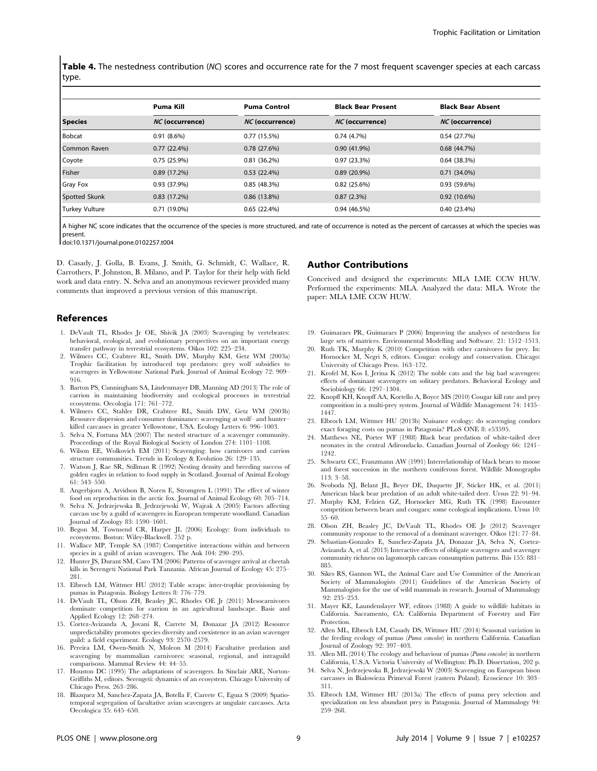Table 4. The nestedness contribution (NC) scores and occurrence rate for the 7 most frequent scavenger species at each carcass type.

|                       | Puma Kill              | <b>Puma Control</b>    | <b>Black Bear Present</b> | <b>Black Bear Absent</b> |
|-----------------------|------------------------|------------------------|---------------------------|--------------------------|
| <b>Species</b>        | <i>NC</i> (occurrence) | <i>NC</i> (occurrence) | <i>NC</i> (occurrence)    | <i>NC</i> (occurrence)   |
| <b>Bobcat</b>         | $0.91(8.6\%)$          | 0.77(15.5%)            | 0.74(4.7%)                | 0.54(27.7%)              |
| Common Raven          | 0.77(22.4%)            | 0.78(27.6%)            | $0.90(41.9\%)$            | 0.68(44.7%)              |
| Coyote                | 0.75(25.9%)            | $0.81(36.2\%)$         | 0.97(23.3%)               | 0.64(38.3%)              |
| Fisher                | 0.89(17.2%)            | 0.53(22.4%)            | $0.89(20.9\%)$            | $0.71(34.0\%)$           |
| <b>Gray Fox</b>       | 0.93(37.9%)            | 0.85(48.3%)            | 0.82(25.6%)               | 0.93(59.6%)              |
| Spotted Skunk         | 0.83(17.2%)            | $0.86(13.8\%)$         | 0.87(2.3%)                | 0.92(10.6%)              |
| <b>Turkey Vulture</b> | $0.71(19.0\%)$         | 0.65(22.4%)            | 0.94(46.5%)               | 0.40(23.4%)              |

A higher NC score indicates that the occurrence of the species is more structured, and rate of occurrence is noted as the percent of carcasses at which the species was present.

doi:10.1371/journal.pone.0102257.t004

D. Casady, J. Golla, B. Evans, J. Smith, G. Schmidt, C. Wallace, R. Carrothers, P. Johnston, B. Milano, and P. Taylor for their help with field work and data entry. N. Selva and an anonymous reviewer provided many comments that improved a previous version of this manuscript.

## References

- 1. DeVault TL, Rhodes Jr OE, Shivik JA (2003) Scavenging by vertebrates: behavioral, ecological, and evolutionary perspectives on an important energy transfer pathway in terrestrial ecosystems. Oikos 102: 225–234.
- 2. Wilmers CC, Crabtree RL, Smith DW, Murphy KM, Getz WM (2003a) Trophic facilitation by introduced top predators: grey wolf subsidies to scavengers in Yellowstone National Park. Journal of Animal Ecology 72: 909– 916.
- 3. Barton PS, Cunningham SA, Lindenmayer DB, Manning AD (2013) The role of carrion in maintaining biodiversity and ecological processes in terrestrial ecosystems. Oecologia 171: 761–772.
- 4. Wilmers CC, Stahler DR, Crabtree RL, Smith DW, Getz WM (2003b) Resource dispersion and consumer dominance: scavenging at wolf– and hunter– killed carcasses in greater Yellowstone, USA. Ecology Letters 6: 996–1003.
- 5. Selva N, Fortuna MA (2007) The nested structure of a scavenger community. Proceedings of the Royal Biological Society of London 274: 1101–1108.
- 6. Wilson EE, Wolkovich EM (2011) Scavenging: how carnivores and carrion structure communities. Trends in Ecology & Evolution 26: 129–135.
- 7. Watson J, Rae SR, Stillman R (1992) Nesting density and breeding success of golden eagles in relation to food supply in Scotland. Journal of Animal Ecology 61: 543–550.
- 8. Angerbjorn A, Arvidson B, Noren E, Stromgren L (1991) The effect of winter food on reproduction in the arctic fox. Journal of Animal Ecology 60: 705-714.
- 9. Selva N, Jedrzejewska B, Jedrzejewski W, Wajrak A (2005) Factors affecting carcass use by a guild of scavengers in European temperate woodland. Canadian Journal of Zoology 83: 1590–1601.
- 10. Begon M, Townsend CR, Harper JL (2006) Ecology: from individuals to ecosystems. Boston: Wiley-Blackwell. 752 p.
- 11. Wallace MP, Temple SA (1987) Competitive interactions within and between species in a guild of avian scavengers. The Auk 104: 290–295.
- 12. Hunter JS, Durant SM, Caro TM (2006) Patterns of scavenger arrival at cheetah kills in Serengeti National Park Tanzania. African Journal of Ecology 45: 275– 281.
- 13. Elbroch LM, Wittmer HU (2012) Table scraps: inter-trophic provisioning by pumas in Patagonia. Biology Letters 8: 776–779.
- 14. DeVault TL, Olson ZH, Beasley JC, Rhodes OE Jr (2011) Mesocarnivores dominate competition for carrion in an agricultural landscape. Basic and Applied Ecology 12: 268–274.
- 15. Cortez-Avizanda A, Jovani R, Carrete M, Donazar JA (2012) Resource unpredictability promotes species diversity and coexistence in an avian scavenger guild: a field experiment. Ecology 93: 2570–2579.
- 16. Pereira LM, Owen-Smith N, Moleon M (2014) Facultative predation and scavenging by mammalian carnivores: seasonal, regional, and intraguild comparisons. Mammal Review 44: 44–55.
- 17. Houston DC (1995) The adaptations of scavengers. In Sinclair ARE, Norton-Griffiths M, editors. Serengeti: dynamics of an ecosystem. Chicago University of Chicago Press. 263–286.
- 18. Blazquez M, Sanchez-Zapata JA, Botella F, Carrete C, Eguıa S (2009) Spatiotemporal segregation of facultative avian scavengers at ungulate carcasses. Acta Oecologica 35: 645–650.

#### Author Contributions

Conceived and designed the experiments: MLA LME CCW HUW. Performed the experiments: MLA. Analyzed the data: MLA. Wrote the paper: MLA LME CCW HUW.

- 19. Guimaraes PR, Guimaraes P (2006) Improving the analyses of nestedness for large sets of matrices. Environmental Modelling and Software. 21: 1512–1513.
- 20. Ruth TK, Murphy K (2010) Competition with other carnivores for prey. In: Hornocker M, Negri S, editors. Cougar: ecology and conservation. Chicago: University of Chicago Press. 163–172.
- 21. Krofel M, Kos I, Jerina K (2012) The noble cats and the big bad scavengers: effects of dominant scavengers on solitary predators. Behavioral Ecology and Sociobiology 66: 1297–1304.
- 22. Knopff KH, Knopff AA, Kortello A, Boyce MS (2010) Cougar kill rate and prey composition in a multi-prey system. Journal of Wildlife Management 74: 1435– 1447.
- 23. Elbroch LM, Wittmer HU (2013b) Nuisance ecology: do scavenging condors exact foraging costs on pumas in Patagonia? PLoS ONE 8: e53595.
- 24. Matthews NE, Porter WF (1988) Black bear predation of white-tailed deer neonates in the central Adirondacks. Canadian Journal of Zoology 66: 1241– 1242.
- 25. Schwartz CC, Franzmann AW (1991) Interrelationship of black bears to moose and forest succession in the northern coniferous forest. Wildlife Monographs 113: 3–58.
- 26. Svoboda NJ, Belant JL, Beyer DE, Duquette JF, Sticker HK, et al. (2011) American black bear predation of an adult white-tailed deer. Ursus 22: 91–94.
- 27. Murphy KM, Felzien GZ, Hornocker MG, Ruth TK (1998) Encounter competition between bears and cougars: some ecological implications. Ursus 10: 55–60.
- 28. Olson ZH, Beasley JC, DeVault TL, Rhodes OE Jr (2012) Scavenger community response to the removal of a dominant scavenger. Oikos 121: 77–84.
- 29. Sebastian-Gonzales E, Sanchez-Zapata JA, Donazar JA, Selva N, Cortez-Avizanda A, et al. (2013) Interactive effects of obligate scavengers and scavenger community richness on lagomorph carcass consumption patterns. Ibis 155: 881– 885.
- 30. Sikes RS, Gannon WL, the Animal Care and Use Committee of the American Society of Mammalogists (2011) Guidelines of the American Society of Mammalogists for the use of wild mammals in research. Journal of Mammalogy 92: 235–253.
- 31. Mayer KE, Laundenslayer WF, editors (1988) A guide to wildlife habitats in California. Sacramento, CA: California Department of Forestry and Fire Protection.
- 32. Allen ML, Elbroch LM, Casady DS, Wittmer HU (2014) Seasonal variation in the feeding ecology of pumas (Puma concolor) in northern California. Canadian Journal of Zoology 92: 397–403.
- 33. Allen ML (2014) The ecology and behaviour of pumas (Puma concolor) in northern California, U.S.A. Victoria University of Wellington: Ph.D. Dissertation, 202 p.
- 34. Selva N, Jedrzejewska B, Jedrzejewski W (2003) Scavenging on European bison carcasses in Bialowieza Primeval Forest (eastern Poland). Ecoscience 10: 303– 311.
- 35. Elbroch LM, Wittmer HU (2013a) The effects of puma prey selection and specialization on less abundant prey in Patagonia. Journal of Mammalogy 94: 259–268.